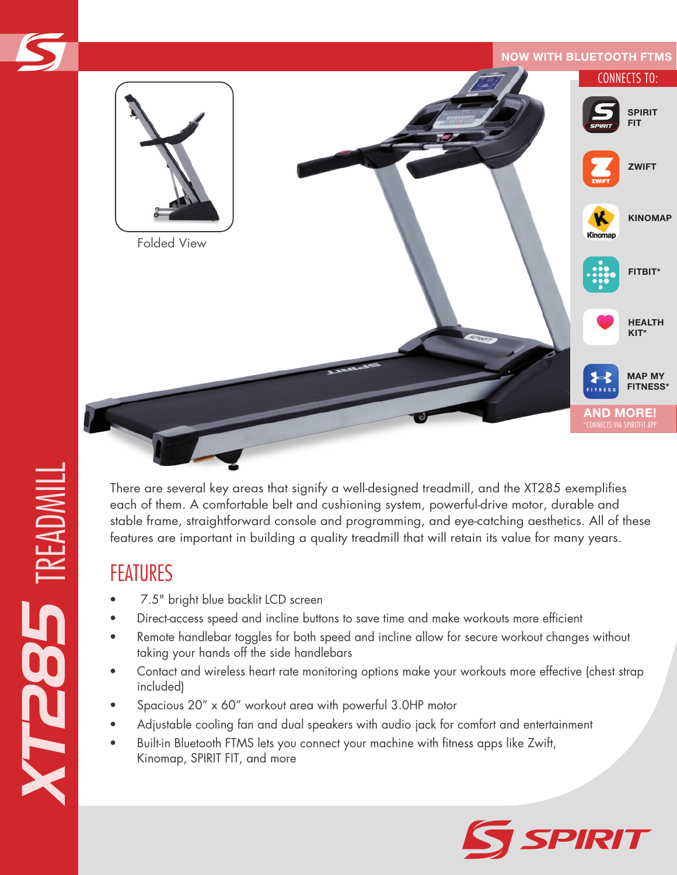

There are several key areas that signify a well-designed treadmill, and the XT285 exemplifies each of them. A comfortable belt and cushioning system, powerful-drive motor, durable and stable frame, straightforward console and programming, and eye-catching aesthetics. All of these features are important in building a quality treadmill that will retain its value for many years.

## FEATURES

- 7.5" bright blue backlit LCD screen
- Direct-access speed and incline buttons to save time and make workouts more efficient
- Remote handlebar toggles for both speed and incline allow for secure workout changes without taking your hands off the side handlebars
- Contact and wireless heart rate monitoring options make your workouts more effective (chest strap included)
- Spacious 20" x 60" workout area with powerful 3.0HP motor
- Adjustable cooling fan and dual speakers with audio jack for comfort and entertainment
- Built-in Bluetooth FTMS lets you connect your machine with fitness apps like Zwift, Kinomap, SPIRIT FIT, and more